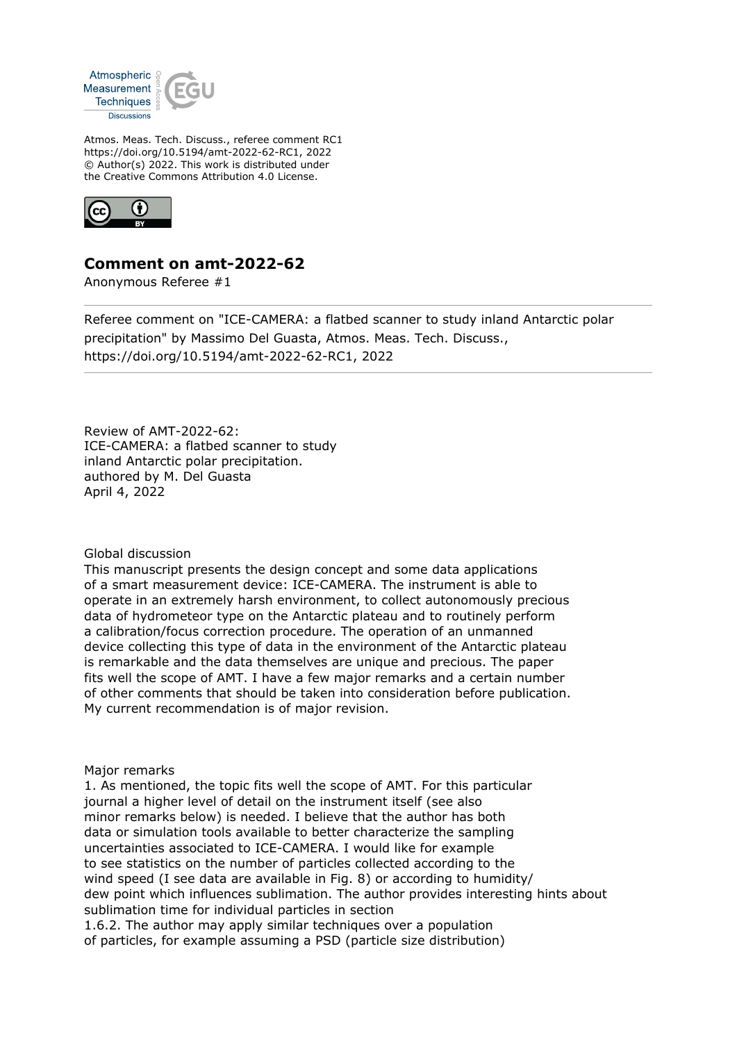

Atmos. Meas. Tech. Discuss., referee comment RC1 https://doi.org/10.5194/amt-2022-62-RC1, 2022 © Author(s) 2022. This work is distributed under the Creative Commons Attribution 4.0 License.



## **Comment on amt-2022-62**

Anonymous Referee #1

Referee comment on "ICE-CAMERA: a flatbed scanner to study inland Antarctic polar precipitation" by Massimo Del Guasta, Atmos. Meas. Tech. Discuss., https://doi.org/10.5194/amt-2022-62-RC1, 2022

Review of AMT-2022-62: ICE-CAMERA: a flatbed scanner to study inland Antarctic polar precipitation. authored by M. Del Guasta April 4, 2022

## Global discussion

This manuscript presents the design concept and some data applications of a smart measurement device: ICE-CAMERA. The instrument is able to operate in an extremely harsh environment, to collect autonomously precious data of hydrometeor type on the Antarctic plateau and to routinely perform a calibration/focus correction procedure. The operation of an unmanned device collecting this type of data in the environment of the Antarctic plateau is remarkable and the data themselves are unique and precious. The paper fits well the scope of AMT. I have a few major remarks and a certain number of other comments that should be taken into consideration before publication. My current recommendation is of major revision.

## Major remarks

1. As mentioned, the topic fits well the scope of AMT. For this particular journal a higher level of detail on the instrument itself (see also minor remarks below) is needed. I believe that the author has both data or simulation tools available to better characterize the sampling uncertainties associated to ICE-CAMERA. I would like for example to see statistics on the number of particles collected according to the wind speed (I see data are available in Fig. 8) or according to humidity/ dew point which influences sublimation. The author provides interesting hints about sublimation time for individual particles in section 1.6.2. The author may apply similar techniques over a population of particles, for example assuming a PSD (particle size distribution)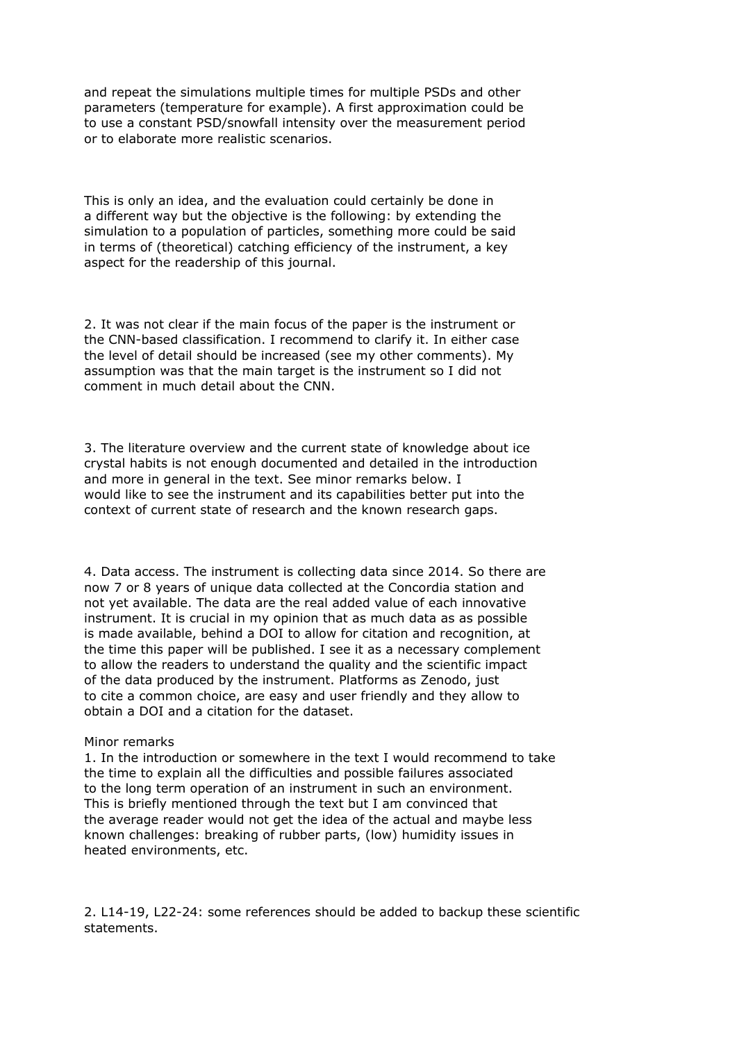and repeat the simulations multiple times for multiple PSDs and other parameters (temperature for example). A first approximation could be to use a constant PSD/snowfall intensity over the measurement period or to elaborate more realistic scenarios.

This is only an idea, and the evaluation could certainly be done in a different way but the objective is the following: by extending the simulation to a population of particles, something more could be said in terms of (theoretical) catching efficiency of the instrument, a key aspect for the readership of this journal.

2. It was not clear if the main focus of the paper is the instrument or the CNN-based classification. I recommend to clarify it. In either case the level of detail should be increased (see my other comments). My assumption was that the main target is the instrument so I did not comment in much detail about the CNN.

3. The literature overview and the current state of knowledge about ice crystal habits is not enough documented and detailed in the introduction and more in general in the text. See minor remarks below. I would like to see the instrument and its capabilities better put into the context of current state of research and the known research gaps.

4. Data access. The instrument is collecting data since 2014. So there are now 7 or 8 years of unique data collected at the Concordia station and not yet available. The data are the real added value of each innovative instrument. It is crucial in my opinion that as much data as as possible is made available, behind a DOI to allow for citation and recognition, at the time this paper will be published. I see it as a necessary complement to allow the readers to understand the quality and the scientific impact of the data produced by the instrument. Platforms as Zenodo, just to cite a common choice, are easy and user friendly and they allow to obtain a DOI and a citation for the dataset.

## Minor remarks

1. In the introduction or somewhere in the text I would recommend to take the time to explain all the difficulties and possible failures associated to the long term operation of an instrument in such an environment. This is briefly mentioned through the text but I am convinced that the average reader would not get the idea of the actual and maybe less known challenges: breaking of rubber parts, (low) humidity issues in heated environments, etc.

2. L14-19, L22-24: some references should be added to backup these scientific statements.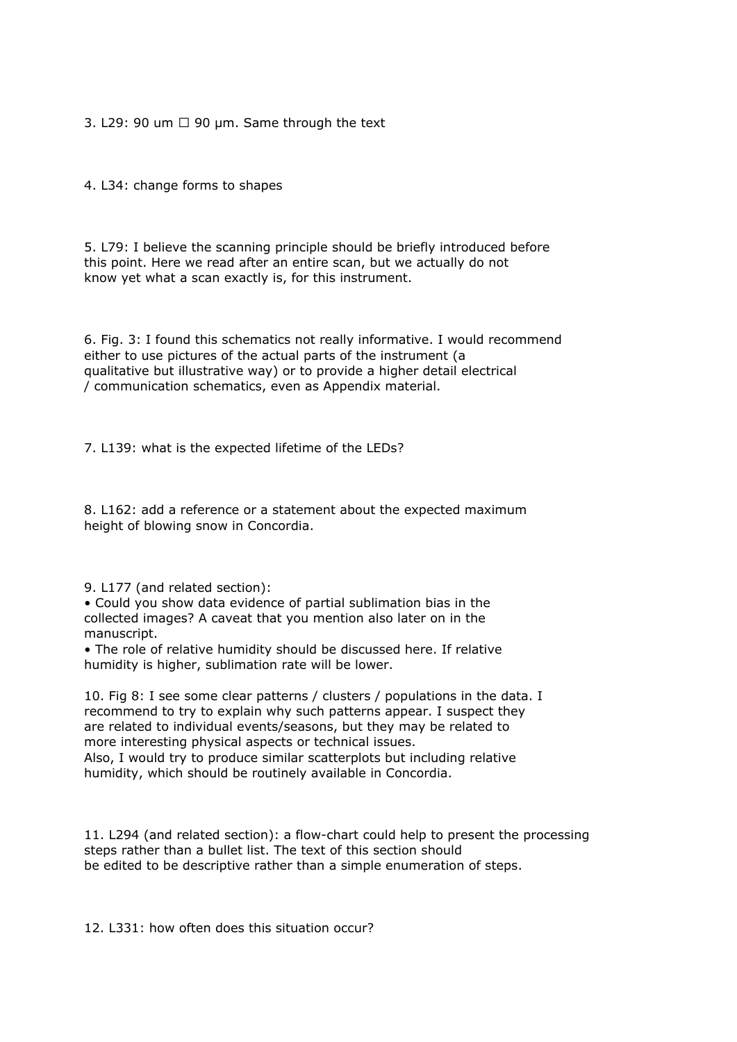3. L29: 90 um  $\Box$  90 µm. Same through the text

4. L34: change forms to shapes

5. L79: I believe the scanning principle should be briefly introduced before this point. Here we read after an entire scan, but we actually do not know yet what a scan exactly is, for this instrument.

6. Fig. 3: I found this schematics not really informative. I would recommend either to use pictures of the actual parts of the instrument (a qualitative but illustrative way) or to provide a higher detail electrical / communication schematics, even as Appendix material.

7. L139: what is the expected lifetime of the LEDs?

8. L162: add a reference or a statement about the expected maximum height of blowing snow in Concordia.

9. L177 (and related section):

• Could you show data evidence of partial sublimation bias in the collected images? A caveat that you mention also later on in the manuscript.

• The role of relative humidity should be discussed here. If relative humidity is higher, sublimation rate will be lower.

10. Fig 8: I see some clear patterns / clusters / populations in the data. I recommend to try to explain why such patterns appear. I suspect they are related to individual events/seasons, but they may be related to more interesting physical aspects or technical issues.

Also, I would try to produce similar scatterplots but including relative humidity, which should be routinely available in Concordia.

11. L294 (and related section): a flow-chart could help to present the processing steps rather than a bullet list. The text of this section should be edited to be descriptive rather than a simple enumeration of steps.

12. L331: how often does this situation occur?